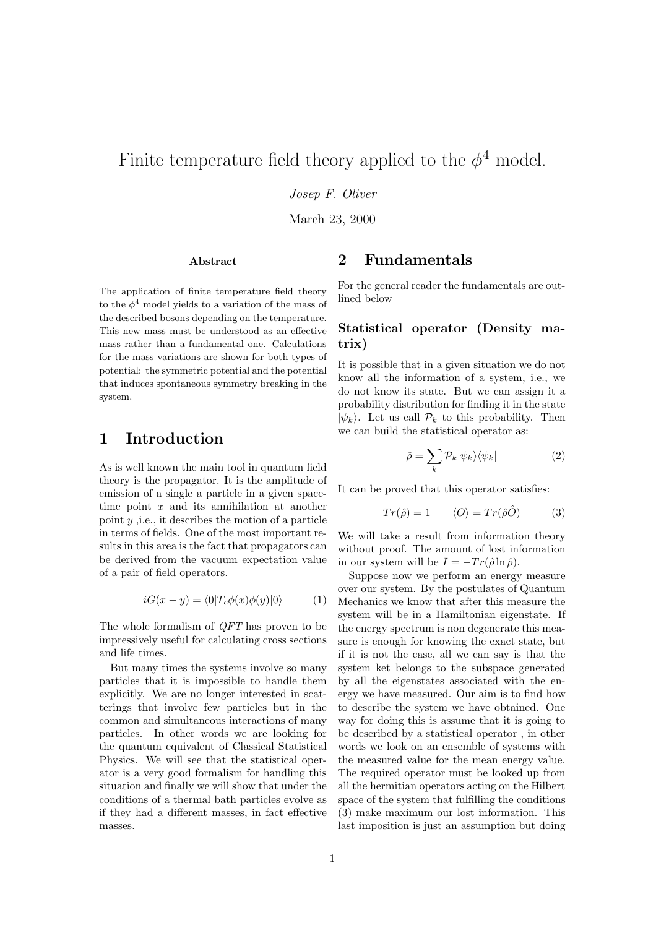# Finite temperature field theory applied to the  $\phi^4$  model.

Josep F. Oliver

March 23, 2000

### Abstract

The application of finite temperature field theory to the  $\phi^4$  model yields to a variation of the mass of the described bosons depending on the temperature. This new mass must be understood as an effective mass rather than a fundamental one. Calculations for the mass variations are shown for both types of potential: the symmetric potential and the potential that induces spontaneous symmetry breaking in the system.

## 1 Introduction

As is well known the main tool in quantum field theory is the propagator. It is the amplitude of emission of a single a particle in a given spacetime point  $x$  and its annihilation at another point  $y$ , i.e., it describes the motion of a particle in terms of fields. One of the most important results in this area is the fact that propagators can be derived from the vacuum expectation value of a pair of field operators.

$$
iG(x - y) = \langle 0|T_c\phi(x)\phi(y)|0\rangle \tag{1}
$$

The whole formalism of QFT has proven to be impressively useful for calculating cross sections and life times.

But many times the systems involve so many particles that it is impossible to handle them explicitly. We are no longer interested in scatterings that involve few particles but in the common and simultaneous interactions of many particles. In other words we are looking for the quantum equivalent of Classical Statistical Physics. We will see that the statistical operator is a very good formalism for handling this situation and finally we will show that under the conditions of a thermal bath particles evolve as if they had a different masses, in fact effective masses.

## 2 Fundamentals

For the general reader the fundamentals are outlined below

### Statistical operator (Density matrix)

It is possible that in a given situation we do not know all the information of a system, i.e., we do not know its state. But we can assign it a probability distribution for finding it in the state  $|\psi_k\rangle$ . Let us call  $\mathcal{P}_k$  to this probability. Then we can build the statistical operator as:

$$
\hat{\rho} = \sum_{k} \mathcal{P}_{k} |\psi_{k}\rangle\langle\psi_{k}| \tag{2}
$$

It can be proved that this operator satisfies:

$$
Tr(\hat{\rho}) = 1 \qquad \langle O \rangle = Tr(\hat{\rho}\hat{O}) \tag{3}
$$

We will take a result from information theory without proof. The amount of lost information in our system will be  $I = -Tr(\hat{\rho} \ln \hat{\rho})$ .

Suppose now we perform an energy measure over our system. By the postulates of Quantum Mechanics we know that after this measure the system will be in a Hamiltonian eigenstate. If the energy spectrum is non degenerate this measure is enough for knowing the exact state, but if it is not the case, all we can say is that the system ket belongs to the subspace generated by all the eigenstates associated with the energy we have measured. Our aim is to find how to describe the system we have obtained. One way for doing this is assume that it is going to be described by a statistical operator , in other words we look on an ensemble of systems with the measured value for the mean energy value. The required operator must be looked up from all the hermitian operators acting on the Hilbert space of the system that fulfilling the conditions (3) make maximum our lost information. This last imposition is just an assumption but doing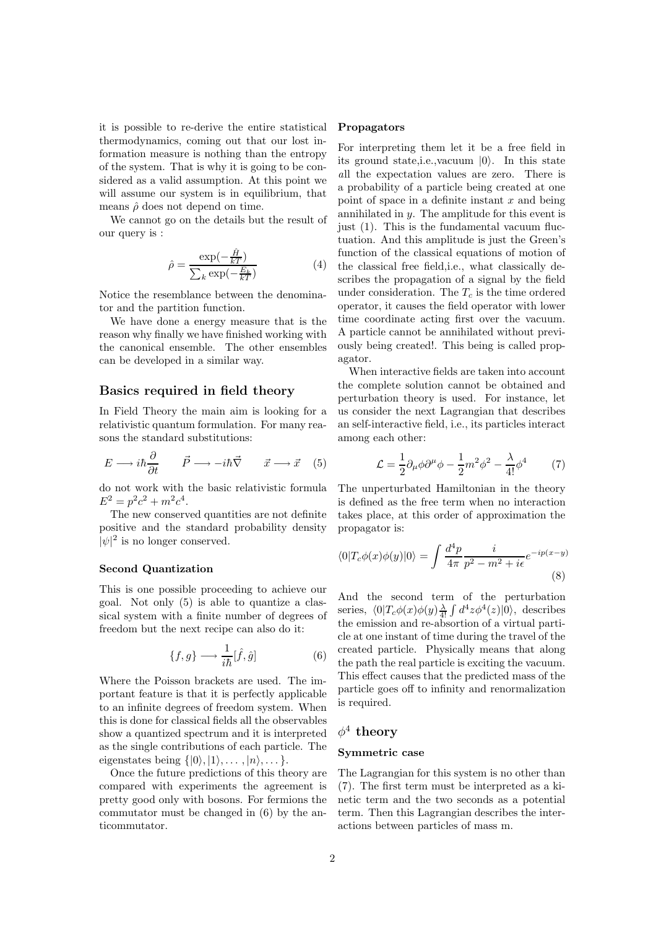it is possible to re-derive the entire statistical thermodynamics, coming out that our lost information measure is nothing than the entropy of the system. That is why it is going to be considered as a valid assumption. At this point we will assume our system is in equilibrium, that means  $\hat{\rho}$  does not depend on time.

We cannot go on the details but the result of our query is :

$$
\hat{\rho} = \frac{\exp(-\frac{\hat{H}}{kT})}{\sum_{k} \exp(-\frac{E_k}{kT})}
$$
(4)

Notice the resemblance between the denominator and the partition function.

We have done a energy measure that is the reason why finally we have finished working with the canonical ensemble. The other ensembles can be developed in a similar way.

### Basics required in field theory

In Field Theory the main aim is looking for a relativistic quantum formulation. For many reasons the standard substitutions:

$$
E \longrightarrow i\hbar \frac{\partial}{\partial t} \qquad \vec{P} \longrightarrow -i\hbar \vec{\nabla} \qquad \vec{x} \longrightarrow \vec{x} \quad (5)
$$

do not work with the basic relativistic formula  $E^2 = p^2c^2 + m^2c^4.$ 

The new conserved quantities are not definite positive and the standard probability density  $|\psi|^2$  is no longer conserved.

### Second Quantization

This is one possible proceeding to achieve our goal. Not only (5) is able to quantize a classical system with a finite number of degrees of freedom but the next recipe can also do it:

$$
\{f,g\} \longrightarrow \frac{1}{i\hbar}[\hat{f},\hat{g}] \tag{6}
$$

Where the Poisson brackets are used. The important feature is that it is perfectly applicable to an infinite degrees of freedom system. When this is done for classical fields all the observables show a quantized spectrum and it is interpreted as the single contributions of each particle. The eigenstates being  $\{|0\rangle, |1\rangle, \ldots, |n\rangle, \ldots\}.$ 

Once the future predictions of this theory are compared with experiments the agreement is pretty good only with bosons. For fermions the commutator must be changed in (6) by the anticommutator.

### Propagators

For interpreting them let it be a free field in its ground state, i.e., vacuum  $|0\rangle$ . In this state all the expectation values are zero. There is a probability of a particle being created at one point of space in a definite instant  $x$  and being annihilated in y. The amplitude for this event is just (1). This is the fundamental vacuum fluctuation. And this amplitude is just the Green's function of the classical equations of motion of the classical free field,i.e., what classically describes the propagation of a signal by the field under consideration. The  $T_c$  is the time ordered operator, it causes the field operator with lower time coordinate acting first over the vacuum. A particle cannot be annihilated without previously being created!. This being is called propagator.

When interactive fields are taken into account the complete solution cannot be obtained and perturbation theory is used. For instance, let us consider the next Lagrangian that describes an self-interactive field, i.e., its particles interact among each other:

$$
\mathcal{L} = \frac{1}{2} \partial_{\mu} \phi \partial^{\mu} \phi - \frac{1}{2} m^2 \phi^2 - \frac{\lambda}{4!} \phi^4 \tag{7}
$$

The unperturbated Hamiltonian in the theory is defined as the free term when no interaction takes place, at this order of approximation the propagator is:

$$
\langle 0|T_c\phi(x)\phi(y)|0\rangle = \int \frac{d^4p}{4\pi} \frac{i}{p^2 - m^2 + i\epsilon} e^{-ip(x-y)}\tag{8}
$$

And the second term of the perturbation series,  $\langle 0|T_c\phi(x)\phi(y)\frac{\lambda}{4!} \int d^4z \phi^4(z)|0\rangle$ , describes the emission and re-absortion of a virtual particle at one instant of time during the travel of the created particle. Physically means that along the path the real particle is exciting the vacuum. This effect causes that the predicted mass of the particle goes off to infinity and renormalization is required.

## $\phi^4$  theory

### Symmetric case

The Lagrangian for this system is no other than (7). The first term must be interpreted as a kinetic term and the two seconds as a potential term. Then this Lagrangian describes the interactions between particles of mass m.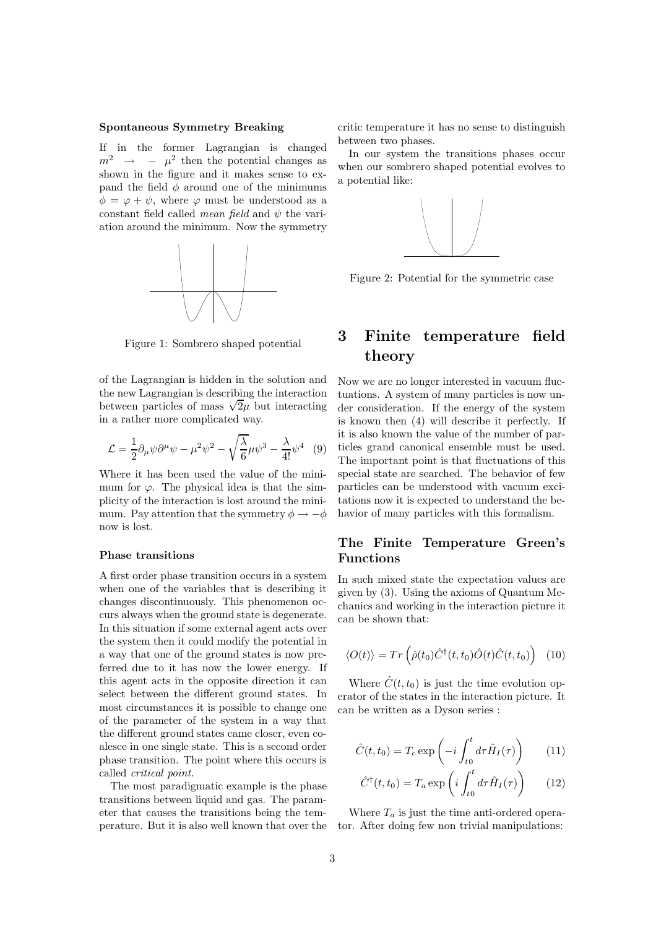## Spontaneous Symmetry Breaking

If in the former Lagrangian is changed  $m^2 \rightarrow -\mu^2$  then the potential changes as shown in the figure and it makes sense to expand the field  $\phi$  around one of the minimums  $\phi = \varphi + \psi$ , where  $\varphi$  must be understood as a constant field called *mean field* and  $\psi$  the variation around the minimum. Now the symmetry



Figure 1: Sombrero shaped potential

of the Lagrangian is hidden in the solution and the new Lagrangian is describing the interaction between particles of mass  $\sqrt{2}\mu$  but interacting in a rather more complicated way.

$$
\mathcal{L} = \frac{1}{2} \partial_{\mu} \psi \partial^{\mu} \psi - \mu^2 \psi^2 - \sqrt{\frac{\lambda}{6}} \mu \psi^3 - \frac{\lambda}{4!} \psi^4 \quad (9)
$$

Where it has been used the value of the minimum for  $\varphi$ . The physical idea is that the simplicity of the interaction is lost around the minimum. Pay attention that the symmetry  $\phi \rightarrow -\phi$ now is lost.

#### Phase transitions

A first order phase transition occurs in a system when one of the variables that is describing it changes discontinuously. This phenomenon occurs always when the ground state is degenerate. In this situation if some external agent acts over the system then it could modify the potential in a way that one of the ground states is now preferred due to it has now the lower energy. If this agent acts in the opposite direction it can select between the different ground states. In most circumstances it is possible to change one of the parameter of the system in a way that the different ground states came closer, even coalesce in one single state. This is a second order phase transition. The point where this occurs is called critical point.

The most paradigmatic example is the phase transitions between liquid and gas. The parameter that causes the transitions being the temperature. But it is also well known that over the critic temperature it has no sense to distinguish between two phases.

In our system the transitions phases occur when our sombrero shaped potential evolves to a potential like:



Figure 2: Potential for the symmetric case

## 3 Finite temperature field theory

Now we are no longer interested in vacuum fluctuations. A system of many particles is now under consideration. If the energy of the system is known then (4) will describe it perfectly. If it is also known the value of the number of particles grand canonical ensemble must be used. The important point is that fluctuations of this special state are searched. The behavior of few particles can be understood with vacuum excitations now it is expected to understand the behavior of many particles with this formalism.

### The Finite Temperature Green's Functions

In such mixed state the expectation values are given by (3). Using the axioms of Quantum Mechanics and working in the interaction picture it can be shown that:

$$
\langle O(t) \rangle = Tr \left( \hat{\rho}(t_0) \hat{C}^{\dagger}(t, t_0) \hat{O}(t) \hat{C}(t, t_0) \right) \tag{10}
$$

Where  $\hat{C}(t,t_0)$  is just the time evolution operator of the states in the interaction picture. It can be written as a Dyson series :

$$
\hat{C}(t, t_0) = T_c \exp\left(-i \int_{t_0}^t d\tau \hat{H}_I(\tau)\right) \qquad (11)
$$

$$
\hat{C}^{\dagger}(t,t_0) = T_a \exp\left(i \int_{t_0}^t d\tau \hat{H}_I(\tau)\right) \qquad (12)
$$

Where  $T_a$  is just the time anti-ordered operator. After doing few non trivial manipulations: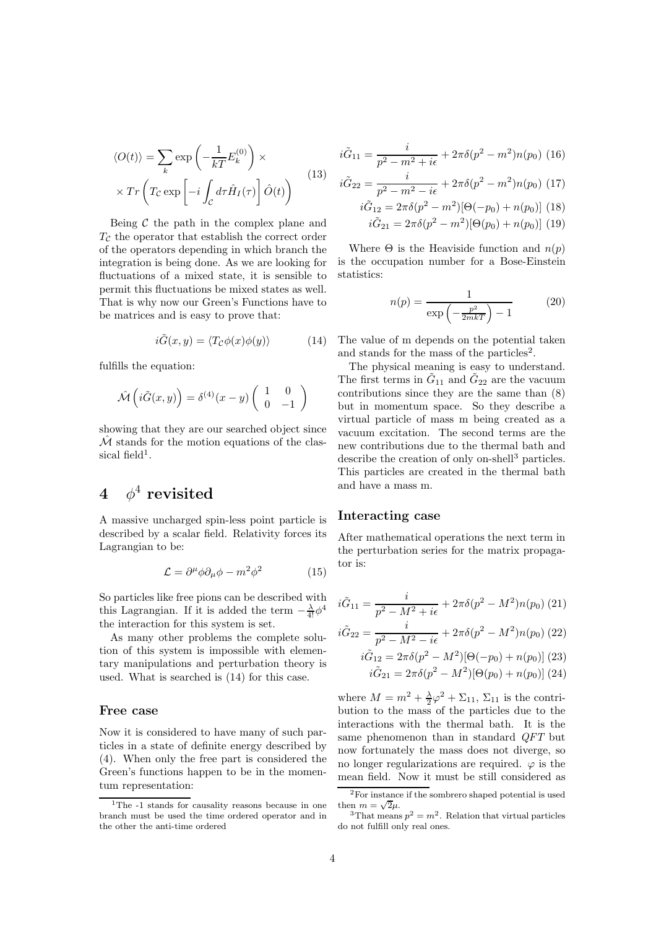$$
\langle O(t) \rangle = \sum_{k} \exp\left(-\frac{1}{kT} E_{k}^{(0)}\right) \times
$$

$$
\times Tr\left(T_{\mathcal{C}} \exp\left[-i \int_{\mathcal{C}} d\tau \hat{H}_{I}(\tau)\right] \hat{O}(t)\right)
$$
(13)

Being  $C$  the path in the complex plane and  $T<sub>C</sub>$  the operator that establish the correct order of the operators depending in which branch the integration is being done. As we are looking for fluctuations of a mixed state, it is sensible to permit this fluctuations be mixed states as well. That is why now our Green's Functions have to be matrices and is easy to prove that:

$$
i\tilde{G}(x,y) = \langle T_{\mathcal{C}}\phi(x)\phi(y)\rangle \tag{14}
$$

fulfills the equation:

$$
\hat{\mathcal{M}}\left(i\tilde{G}(x,y)\right) = \delta^{(4)}(x-y)\left(\begin{array}{cc} 1 & 0\\ 0 & -1 \end{array}\right)
$$

showing that they are our searched object since  $\hat{\mathcal{M}}$  stands for the motion equations of the classical field<sup>1</sup>.

## $4\quad \phi^4 \text{ revisited}$

A massive uncharged spin-less point particle is described by a scalar field. Relativity forces its Lagrangian to be:

$$
\mathcal{L} = \partial^{\mu} \phi \partial_{\mu} \phi - m^2 \phi^2 \qquad (15)
$$

So particles like free pions can be described with this Lagrangian. If it is added the term  $-\frac{\lambda}{4!}\phi^4$ the interaction for this system is set.

As many other problems the complete solution of this system is impossible with elementary manipulations and perturbation theory is used. What is searched is (14) for this case.

### Free case

Now it is considered to have many of such particles in a state of definite energy described by (4). When only the free part is considered the Green's functions happen to be in the momentum representation:

$$
i\tilde{G}_{11} = \frac{i}{p^2 - m^2 + i\epsilon} + 2\pi\delta(p^2 - m^2)n(p_0)
$$
 (16)

$$
i\tilde{G}_{22} = \frac{i}{p^2 - m^2 - i\epsilon} + 2\pi\delta(p^2 - m^2)n(p_0)
$$
 (17)

$$
i\tilde{G}_{12} = 2\pi\delta(p^2 - m^2)[\Theta(-p_0) + n(p_0)]
$$
 (18)

$$
i\tilde{G}_{21} = 2\pi\delta(p^2 - m^2)[\Theta(p_0) + n(p_0)]
$$
 (19)

Where  $\Theta$  is the Heaviside function and  $n(p)$ is the occupation number for a Bose-Einstein statistics:

$$
n(p) = \frac{1}{\exp\left(-\frac{p^2}{2mkT}\right) - 1} \tag{20}
$$

The value of m depends on the potential taken and stands for the mass of the particles<sup>2</sup>.

The physical meaning is easy to understand. The first terms in  $\tilde{G}_{11}$  and  $\tilde{G}_{22}$  are the vacuum contributions since they are the same than (8) but in momentum space. So they describe a virtual particle of mass m being created as a vacuum excitation. The second terms are the new contributions due to the thermal bath and describe the creation of only on-shell<sup>3</sup> particles. This particles are created in the thermal bath and have a mass m.

### Interacting case

After mathematical operations the next term in the perturbation series for the matrix propagator is:

$$
i\tilde{G}_{11} = \frac{i}{p^2 - M^2 + i\epsilon} + 2\pi\delta(p^2 - M^2)n(p_0)
$$
 (21)

$$
i\tilde{G}_{22} = \frac{i}{p^2 - M^2 - i\epsilon} + 2\pi\delta(p^2 - M^2)n(p_0)
$$
 (22)

$$
i\tilde{G}_{12} = 2\pi\delta(p^2 - M^2)[\Theta(-p_0) + n(p_0)]
$$
 (23)  

$$
i\tilde{G}_{21} = 2\pi\delta(p^2 - M^2)[\Theta(p_0) + n(p_0)]
$$
 (24)

where  $M = m^2 + \frac{\lambda}{2}\varphi^2 + \Sigma_{11}$ ,  $\Sigma_{11}$  is the contribution to the mass of the particles due to the interactions with the thermal bath. It is the same phenomenon than in standard QFT but now fortunately the mass does not diverge, so no longer regularizations are required.  $\varphi$  is the mean field. Now it must be still considered as

<sup>&</sup>lt;sup>1</sup>The -1 stands for causality reasons because in one branch must be used the time ordered operator and in the other the anti-time ordered

<sup>2</sup>For instance if the sombrero shaped potential is used then  $m = \sqrt{2}\mu$ .

<sup>&</sup>lt;sup>3</sup>That means  $p^2 = m^2$ . Relation that virtual particles do not fulfill only real ones.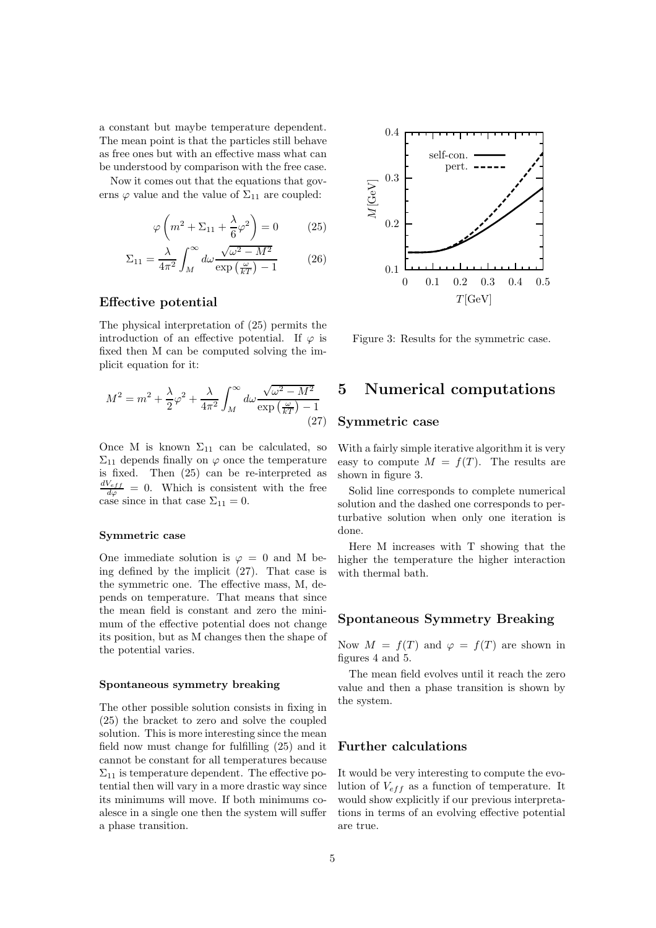a constant but maybe temperature dependent. The mean point is that the particles still behave as free ones but with an effective mass what can be understood by comparison with the free case.

Now it comes out that the equations that governs  $\varphi$  value and the value of  $\Sigma_{11}$  are coupled:

$$
\varphi\left(m^2 + \Sigma_{11} + \frac{\lambda}{6}\varphi^2\right) = 0 \tag{25}
$$

$$
\Sigma_{11} = \frac{\lambda}{4\pi^2} \int_M^{\infty} d\omega \frac{\sqrt{\omega^2 - M^2}}{\exp\left(\frac{\omega}{kT}\right) - 1}
$$
 (26)

### Effective potential

The physical interpretation of (25) permits the introduction of an effective potential. If  $\varphi$  is fixed then M can be computed solving the implicit equation for it:

$$
M^{2} = m^{2} + \frac{\lambda}{2}\varphi^{2} + \frac{\lambda}{4\pi^{2}}\int_{M}^{\infty} d\omega \frac{\sqrt{\omega^{2} - M^{2}}}{\exp\left(\frac{\omega}{kT}\right) - 1}
$$
\n(27)

Once M is known  $\Sigma_{11}$  can be calculated, so  $\Sigma_{11}$  depends finally on  $\varphi$  once the temperature is fixed. Then (25) can be re-interpreted as  $\frac{dV_{eff}}{d\varphi} = 0$ . Which is consistent with the free case since in that case  $\Sigma_{11} = 0$ .

### Symmetric case

One immediate solution is  $\varphi = 0$  and M being defined by the implicit (27). That case is the symmetric one. The effective mass, M, depends on temperature. That means that since the mean field is constant and zero the minimum of the effective potential does not change its position, but as M changes then the shape of the potential varies.

#### Spontaneous symmetry breaking

The other possible solution consists in fixing in (25) the bracket to zero and solve the coupled solution. This is more interesting since the mean field now must change for fulfilling (25) and it cannot be constant for all temperatures because  $\Sigma_{11}$  is temperature dependent. The effective potential then will vary in a more drastic way since its minimums will move. If both minimums coalesce in a single one then the system will suffer a phase transition.



Figure 3: Results for the symmetric case.

## 5 Numerical computations

### Symmetric case

With a fairly simple iterative algorithm it is very easy to compute  $M = f(T)$ . The results are shown in figure 3.

Solid line corresponds to complete numerical solution and the dashed one corresponds to perturbative solution when only one iteration is done.

Here M increases with T showing that the higher the temperature the higher interaction with thermal bath.

### Spontaneous Symmetry Breaking

Now  $M = f(T)$  and  $\varphi = f(T)$  are shown in figures 4 and 5.

The mean field evolves until it reach the zero value and then a phase transition is shown by the system.

### Further calculations

It would be very interesting to compute the evolution of  $V_{eff}$  as a function of temperature. It would show explicitly if our previous interpretations in terms of an evolving effective potential are true.